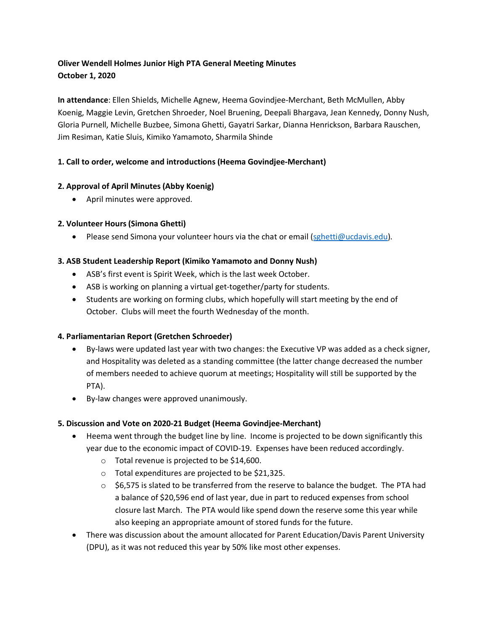# **Oliver Wendell Holmes Junior High PTA General Meeting Minutes October 1, 2020**

**In attendance**: Ellen Shields, Michelle Agnew, Heema Govindjee-Merchant, Beth McMullen, Abby Koenig, Maggie Levin, Gretchen Shroeder, Noel Bruening, Deepali Bhargava, Jean Kennedy, Donny Nush, Gloria Purnell, Michelle Buzbee, Simona Ghetti, Gayatri Sarkar, Dianna Henrickson, Barbara Rauschen, Jim Resiman, Katie Sluis, Kimiko Yamamoto, Sharmila Shinde

## **1. Call to order, welcome and introductions (Heema Govindjee-Merchant)**

## **2. Approval of April Minutes (Abby Koenig)**

• April minutes were approved.

## **2. Volunteer Hours (Simona Ghetti)**

• Please send Simona your volunteer hours via the chat or email (sghetti@ucdavis.edu).

## **3. ASB Student Leadership Report (Kimiko Yamamoto and Donny Nush)**

- ASB's first event is Spirit Week, which is the last week October.
- ASB is working on planning a virtual get-together/party for students.
- Students are working on forming clubs, which hopefully will start meeting by the end of October. Clubs will meet the fourth Wednesday of the month.

### **4. Parliamentarian Report (Gretchen Schroeder)**

- By-laws were updated last year with two changes: the Executive VP was added as a check signer, and Hospitality was deleted as a standing committee (the latter change decreased the number of members needed to achieve quorum at meetings; Hospitality will still be supported by the PTA).
- By-law changes were approved unanimously.

## **5. Discussion and Vote on 2020-21 Budget (Heema Govindjee-Merchant)**

- Heema went through the budget line by line. Income is projected to be down significantly this year due to the economic impact of COVID-19. Expenses have been reduced accordingly.
	- o Total revenue is projected to be \$14,600.
	- o Total expenditures are projected to be \$21,325.
	- $\circ$  \$6,575 is slated to be transferred from the reserve to balance the budget. The PTA had a balance of \$20,596 end of last year, due in part to reduced expenses from school closure last March. The PTA would like spend down the reserve some this year while also keeping an appropriate amount of stored funds for the future.
- There was discussion about the amount allocated for Parent Education/Davis Parent University (DPU), as it was not reduced this year by 50% like most other expenses.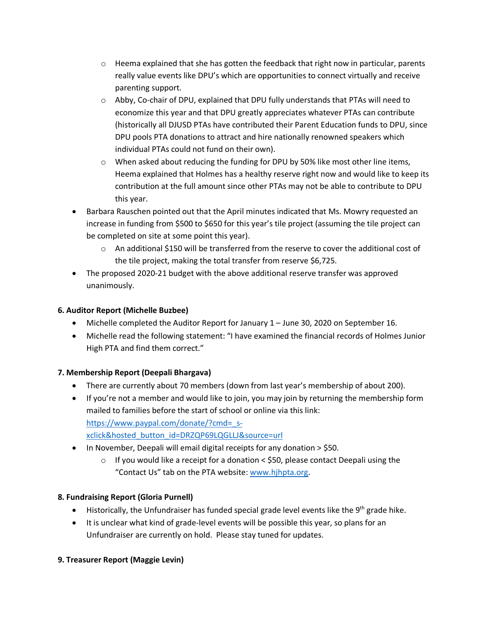- $\circ$  Heema explained that she has gotten the feedback that right now in particular, parents really value events like DPU's which are opportunities to connect virtually and receive parenting support.
- $\circ$  Abby, Co-chair of DPU, explained that DPU fully understands that PTAs will need to economize this year and that DPU greatly appreciates whatever PTAs can contribute (historically all DJUSD PTAs have contributed their Parent Education funds to DPU, since DPU pools PTA donations to attract and hire nationally renowned speakers which individual PTAs could not fund on their own).
- o When asked about reducing the funding for DPU by 50% like most other line items, Heema explained that Holmes has a healthy reserve right now and would like to keep its contribution at the full amount since other PTAs may not be able to contribute to DPU this year.
- Barbara Rauschen pointed out that the April minutes indicated that Ms. Mowry requested an increase in funding from \$500 to \$650 for this year's tile project (assuming the tile project can be completed on site at some point this year).
	- $\circ$  An additional \$150 will be transferred from the reserve to cover the additional cost of the tile project, making the total transfer from reserve \$6,725.
- The proposed 2020-21 budget with the above additional reserve transfer was approved unanimously.

## **6. Auditor Report (Michelle Buzbee)**

- Michelle completed the Auditor Report for January 1 June 30, 2020 on September 16.
- Michelle read the following statement: "I have examined the financial records of Holmes Junior High PTA and find them correct."

## **7. Membership Report (Deepali Bhargava)**

- There are currently about 70 members (down from last year's membership of about 200).
- If you're not a member and would like to join, you may join by returning the membership form mailed to families before the start of school or online via this link: https://www.paypal.com/donate/?cmd=\_sxclick&hosted\_button\_id=DRZQP69LQGLLJ&source=url
- In November, Deepali will email digital receipts for any donation > \$50.
	- $\circ$  If you would like a receipt for a donation < \$50, please contact Deepali using the "Contact Us" tab on the PTA website: www.hjhpta.org.

## **8. Fundraising Report (Gloria Purnell)**

- Historically, the Unfundraiser has funded special grade level events like the 9<sup>th</sup> grade hike.
- It is unclear what kind of grade-level events will be possible this year, so plans for an Unfundraiser are currently on hold. Please stay tuned for updates.

## **9. Treasurer Report (Maggie Levin)**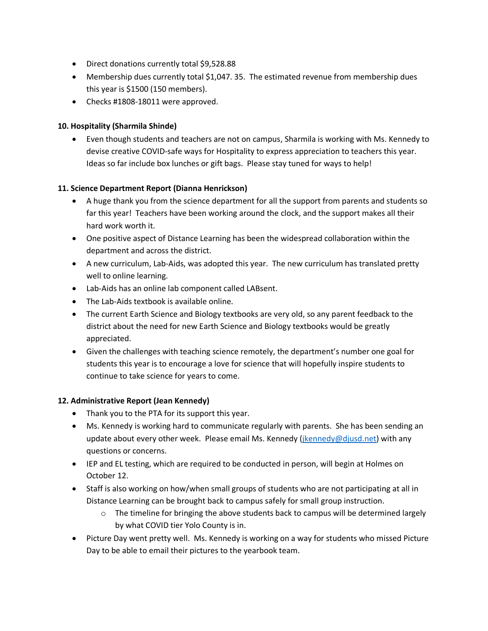- Direct donations currently total \$9,528.88
- Membership dues currently total \$1,047. 35. The estimated revenue from membership dues this year is \$1500 (150 members).
- Checks #1808-18011 were approved.

### **10. Hospitality (Sharmila Shinde)**

• Even though students and teachers are not on campus, Sharmila is working with Ms. Kennedy to devise creative COVID-safe ways for Hospitality to express appreciation to teachers this year. Ideas so far include box lunches or gift bags. Please stay tuned for ways to help!

#### **11. Science Department Report (Dianna Henrickson)**

- A huge thank you from the science department for all the support from parents and students so far this year! Teachers have been working around the clock, and the support makes all their hard work worth it.
- One positive aspect of Distance Learning has been the widespread collaboration within the department and across the district.
- A new curriculum, Lab-Aids, was adopted this year. The new curriculum has translated pretty well to online learning.
- Lab-Aids has an online lab component called LABsent.
- The Lab-Aids textbook is available online.
- The current Earth Science and Biology textbooks are very old, so any parent feedback to the district about the need for new Earth Science and Biology textbooks would be greatly appreciated.
- Given the challenges with teaching science remotely, the department's number one goal for students this year is to encourage a love for science that will hopefully inspire students to continue to take science for years to come.

### **12. Administrative Report (Jean Kennedy)**

- Thank you to the PTA for its support this year.
- Ms. Kennedy is working hard to communicate regularly with parents. She has been sending an update about every other week. Please email Ms. Kennedy (jkennedy@djusd.net) with any questions or concerns.
- IEP and EL testing, which are required to be conducted in person, will begin at Holmes on October 12.
- Staff is also working on how/when small groups of students who are not participating at all in Distance Learning can be brought back to campus safely for small group instruction.
	- $\circ$  The timeline for bringing the above students back to campus will be determined largely by what COVID tier Yolo County is in.
- Picture Day went pretty well. Ms. Kennedy is working on a way for students who missed Picture Day to be able to email their pictures to the yearbook team.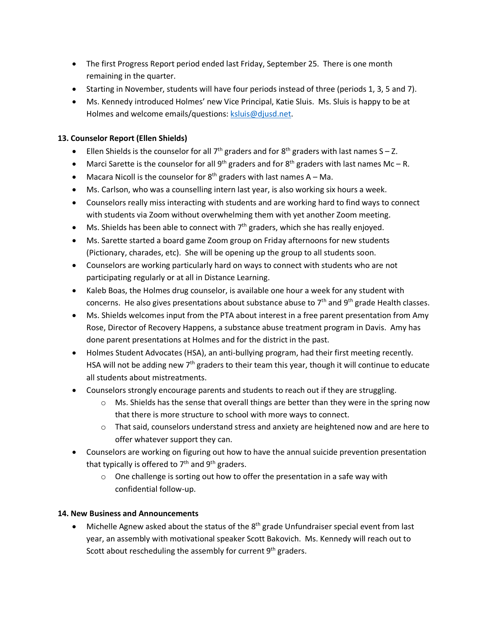- The first Progress Report period ended last Friday, September 25. There is one month remaining in the quarter.
- Starting in November, students will have four periods instead of three (periods 1, 3, 5 and 7).
- Ms. Kennedy introduced Holmes' new Vice Principal, Katie Sluis. Ms. Sluis is happy to be at Holmes and welcome emails/questions: ksluis@djusd.net.

### **13. Counselor Report (Ellen Shields)**

- Ellen Shields is the counselor for all  $7<sup>th</sup>$  graders and for  $8<sup>th</sup>$  graders with last names  $S Z$ .
- Marci Sarette is the counselor for all 9<sup>th</sup> graders and for 8<sup>th</sup> graders with last names Mc R.
- Macara Nicoll is the counselor for  $8<sup>th</sup>$  graders with last names A Ma.
- Ms. Carlson, who was a counselling intern last year, is also working six hours a week.
- Counselors really miss interacting with students and are working hard to find ways to connect with students via Zoom without overwhelming them with yet another Zoom meeting.
- Ms. Shields has been able to connect with  $7<sup>th</sup>$  graders, which she has really enjoyed.
- Ms. Sarette started a board game Zoom group on Friday afternoons for new students (Pictionary, charades, etc). She will be opening up the group to all students soon.
- Counselors are working particularly hard on ways to connect with students who are not participating regularly or at all in Distance Learning.
- Kaleb Boas, the Holmes drug counselor, is available one hour a week for any student with concerns. He also gives presentations about substance abuse to  $7<sup>th</sup>$  and  $9<sup>th</sup>$  grade Health classes.
- Ms. Shields welcomes input from the PTA about interest in a free parent presentation from Amy Rose, Director of Recovery Happens, a substance abuse treatment program in Davis. Amy has done parent presentations at Holmes and for the district in the past.
- Holmes Student Advocates (HSA), an anti-bullying program, had their first meeting recently. HSA will not be adding new  $7<sup>th</sup>$  graders to their team this year, though it will continue to educate all students about mistreatments.
- Counselors strongly encourage parents and students to reach out if they are struggling.
	- $\circ$  Ms. Shields has the sense that overall things are better than they were in the spring now that there is more structure to school with more ways to connect.
	- $\circ$  That said, counselors understand stress and anxiety are heightened now and are here to offer whatever support they can.
- Counselors are working on figuring out how to have the annual suicide prevention presentation that typically is offered to  $7<sup>th</sup>$  and  $9<sup>th</sup>$  graders.
	- o One challenge is sorting out how to offer the presentation in a safe way with confidential follow-up.

### **14. New Business and Announcements**

• Michelle Agnew asked about the status of the  $8<sup>th</sup>$  grade Unfundraiser special event from last year, an assembly with motivational speaker Scott Bakovich. Ms. Kennedy will reach out to Scott about rescheduling the assembly for current  $9<sup>th</sup>$  graders.